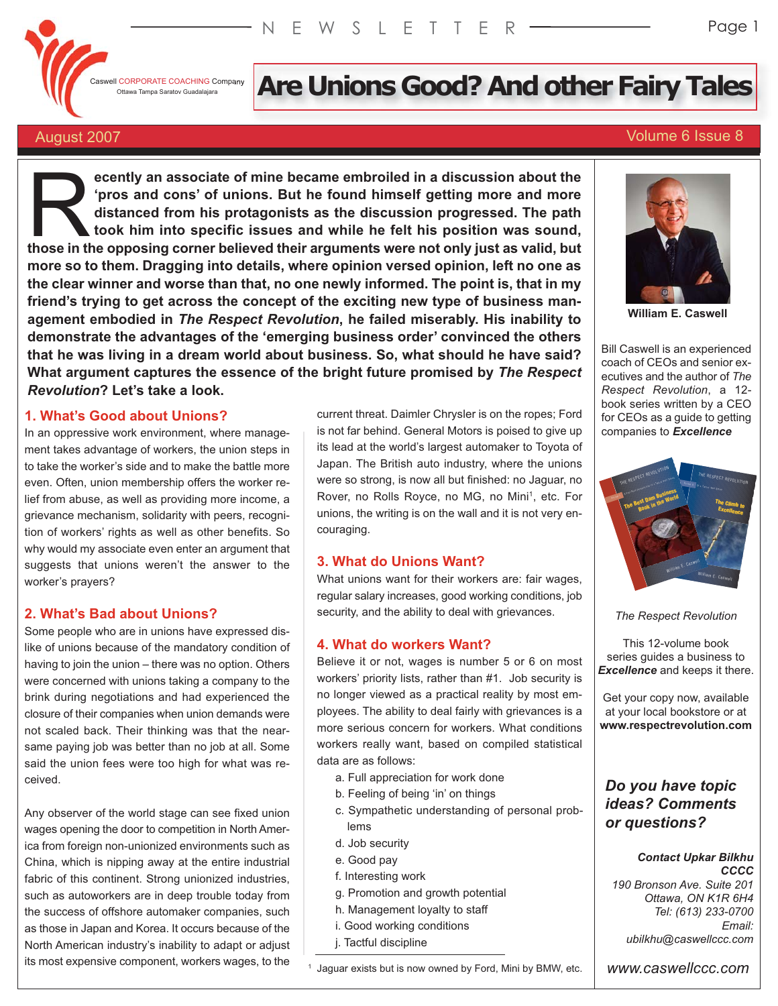

# I CORPORATE COACHING Company **Are Unions Good? And other Fairy Tales**

# August 2007 Volume 6 Issue 8

**ecently an associate of mine became embroiled in a discussion about the 'pros and cons' of unions. But he found himself getting more and more distanced from his protagonists as the discussion progressed. The path took him into specific issues and while he felt his position was sound, the opposition** in a discussion about the opposing corner believed their arguments were not only just as valid, but<br>those in the opposing corner believed their arguments were not only just as valid, but **more so to them. Dragging into details, where opinion versed opinion, left no one as the clear winner and worse than that, no one newly informed. The point is, that in my friend's trying to get across the concept of the exciting new type of business management embodied in** *The Respect Revolution***, he failed miserably. His inability to demonstrate the advantages of the 'emerging business order' convinced the others that he was living in a dream world about business. So, what should he have said? What argument captures the essence of the bright future promised by** *The Respect Revolution***? Let's take a look.** 

# **1. What's Good about Unions?**

In an oppressive work environment, where management takes advantage of workers, the union steps in to take the worker's side and to make the battle more even. Often, union membership offers the worker relief from abuse, as well as providing more income, a grievance mechanism, solidarity with peers, recognition of workers' rights as well as other benefits. So why would my associate even enter an argument that suggests that unions weren't the answer to the worker's prayers?

# **2. What's Bad about Unions?**

Some people who are in unions have expressed dislike of unions because of the mandatory condition of having to join the union – there was no option. Others were concerned with unions taking a company to the brink during negotiations and had experienced the closure of their companies when union demands were not scaled back. Their thinking was that the nearsame paying job was better than no job at all. Some said the union fees were too high for what was received.

Any observer of the world stage can see fixed union wages opening the door to competition in North America from foreign non-unionized environments such as China, which is nipping away at the entire industrial fabric of this continent. Strong unionized industries, such as autoworkers are in deep trouble today from the success of offshore automaker companies, such as those in Japan and Korea. It occurs because of the North American industry's inability to adapt or adjust its most expensive component, workers wages, to the

current threat. Daimler Chrysler is on the ropes; Ford is not far behind. General Motors is poised to give up its lead at the world's largest automaker to Toyota of Japan. The British auto industry, where the unions were so strong, is now all but finished: no Jaguar, no Rover, no Rolls Royce, no MG, no Mini<sup>1</sup>, etc. For unions, the writing is on the wall and it is not very encouraging.

# **3. What do Unions Want?**

What unions want for their workers are: fair wages, regular salary increases, good working conditions, job security, and the ability to deal with grievances.

### **4. What do workers Want?**

Believe it or not, wages is number 5 or 6 on most workers' priority lists, rather than #1. Job security is no longer viewed as a practical reality by most employees. The ability to deal fairly with grievances is a more serious concern for workers. What conditions workers really want, based on compiled statistical data are as follows:

- a. Full appreciation for work done
- b. Feeling of being 'in' on things
- c. Sympathetic understanding of personal problems
- d. Job security
- e. Good pay
- f. Interesting work
- g. Promotion and growth potential
- h. Management loyalty to staff
- i. Good working conditions
- j. Tactful discipline



**William E. Caswell**

Bill Caswell is an experienced coach of CEOs and senior executives and the author of *The Respect Revolution*, a 12 book series written by a CEO for CEOs as a guide to getting companies to *Excellence*



*The Respect Revolution*

This 12-volume book series guides a business to *Excellence* and keeps it there.

Get your copy now, available at your local bookstore or at **www.respectrevolution.com**

# *Do you have topic ideas? Comments or questions?*

#### *Contact Upkar Bilkhu CCCC*

*190 Bronson Ave. Suite 201 Ottawa, ON K1R 6H4 Tel: (613) 233-0700 Email: ubilkhu@caswellccc.com*

*www.caswellccc.com*